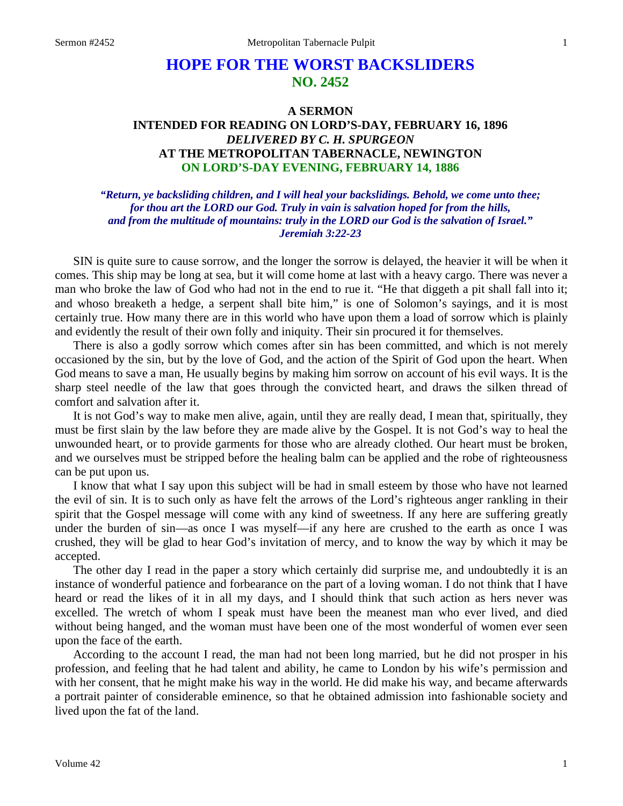# **HOPE FOR THE WORST BACKSLIDERS NO. 2452**

## **A SERMON INTENDED FOR READING ON LORD'S-DAY, FEBRUARY 16, 1896**  *DELIVERED BY C. H. SPURGEON*  **AT THE METROPOLITAN TABERNACLE, NEWINGTON ON LORD'S-DAY EVENING, FEBRUARY 14, 1886**

*"Return, ye backsliding children, and I will heal your backslidings. Behold, we come unto thee; for thou art the LORD our God. Truly in vain is salvation hoped for from the hills, and from the multitude of mountains: truly in the LORD our God is the salvation of Israel." Jeremiah 3:22-23* 

SIN is quite sure to cause sorrow, and the longer the sorrow is delayed, the heavier it will be when it comes. This ship may be long at sea, but it will come home at last with a heavy cargo. There was never a man who broke the law of God who had not in the end to rue it. "He that diggeth a pit shall fall into it; and whoso breaketh a hedge, a serpent shall bite him," is one of Solomon's sayings, and it is most certainly true. How many there are in this world who have upon them a load of sorrow which is plainly and evidently the result of their own folly and iniquity. Their sin procured it for themselves.

There is also a godly sorrow which comes after sin has been committed, and which is not merely occasioned by the sin, but by the love of God, and the action of the Spirit of God upon the heart. When God means to save a man, He usually begins by making him sorrow on account of his evil ways. It is the sharp steel needle of the law that goes through the convicted heart, and draws the silken thread of comfort and salvation after it.

It is not God's way to make men alive, again, until they are really dead, I mean that, spiritually, they must be first slain by the law before they are made alive by the Gospel. It is not God's way to heal the unwounded heart, or to provide garments for those who are already clothed. Our heart must be broken, and we ourselves must be stripped before the healing balm can be applied and the robe of righteousness can be put upon us.

I know that what I say upon this subject will be had in small esteem by those who have not learned the evil of sin. It is to such only as have felt the arrows of the Lord's righteous anger rankling in their spirit that the Gospel message will come with any kind of sweetness. If any here are suffering greatly under the burden of sin—as once I was myself—if any here are crushed to the earth as once I was crushed, they will be glad to hear God's invitation of mercy, and to know the way by which it may be accepted.

The other day I read in the paper a story which certainly did surprise me, and undoubtedly it is an instance of wonderful patience and forbearance on the part of a loving woman. I do not think that I have heard or read the likes of it in all my days, and I should think that such action as hers never was excelled. The wretch of whom I speak must have been the meanest man who ever lived, and died without being hanged, and the woman must have been one of the most wonderful of women ever seen upon the face of the earth.

According to the account I read, the man had not been long married, but he did not prosper in his profession, and feeling that he had talent and ability, he came to London by his wife's permission and with her consent, that he might make his way in the world. He did make his way, and became afterwards a portrait painter of considerable eminence, so that he obtained admission into fashionable society and lived upon the fat of the land.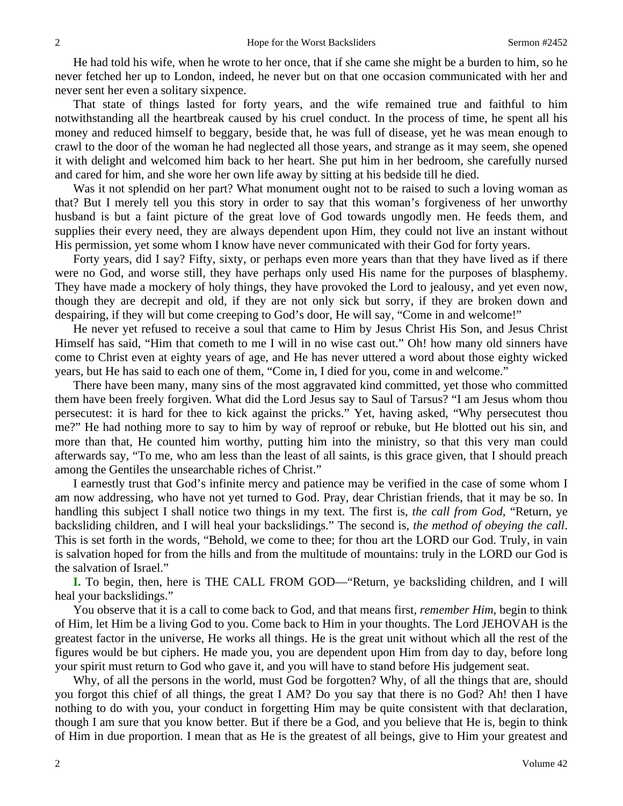He had told his wife, when he wrote to her once, that if she came she might be a burden to him, so he never fetched her up to London, indeed, he never but on that one occasion communicated with her and never sent her even a solitary sixpence.

That state of things lasted for forty years, and the wife remained true and faithful to him notwithstanding all the heartbreak caused by his cruel conduct. In the process of time, he spent all his money and reduced himself to beggary, beside that, he was full of disease, yet he was mean enough to crawl to the door of the woman he had neglected all those years, and strange as it may seem, she opened it with delight and welcomed him back to her heart. She put him in her bedroom, she carefully nursed and cared for him, and she wore her own life away by sitting at his bedside till he died.

Was it not splendid on her part? What monument ought not to be raised to such a loving woman as that? But I merely tell you this story in order to say that this woman's forgiveness of her unworthy husband is but a faint picture of the great love of God towards ungodly men. He feeds them, and supplies their every need, they are always dependent upon Him, they could not live an instant without His permission, yet some whom I know have never communicated with their God for forty years.

Forty years, did I say? Fifty, sixty, or perhaps even more years than that they have lived as if there were no God, and worse still, they have perhaps only used His name for the purposes of blasphemy. They have made a mockery of holy things, they have provoked the Lord to jealousy, and yet even now, though they are decrepit and old, if they are not only sick but sorry, if they are broken down and despairing, if they will but come creeping to God's door, He will say, "Come in and welcome!"

He never yet refused to receive a soul that came to Him by Jesus Christ His Son, and Jesus Christ Himself has said, "Him that cometh to me I will in no wise cast out." Oh! how many old sinners have come to Christ even at eighty years of age, and He has never uttered a word about those eighty wicked years, but He has said to each one of them, "Come in, I died for you, come in and welcome."

There have been many, many sins of the most aggravated kind committed, yet those who committed them have been freely forgiven. What did the Lord Jesus say to Saul of Tarsus? "I am Jesus whom thou persecutest: it is hard for thee to kick against the pricks." Yet, having asked, "Why persecutest thou me?" He had nothing more to say to him by way of reproof or rebuke, but He blotted out his sin, and more than that, He counted him worthy, putting him into the ministry, so that this very man could afterwards say, "To me, who am less than the least of all saints, is this grace given, that I should preach among the Gentiles the unsearchable riches of Christ."

I earnestly trust that God's infinite mercy and patience may be verified in the case of some whom I am now addressing, who have not yet turned to God. Pray, dear Christian friends, that it may be so. In handling this subject I shall notice two things in my text. The first is, *the call from God,* "Return, ye backsliding children, and I will heal your backslidings." The second is, *the method of obeying the call*. This is set forth in the words, "Behold, we come to thee; for thou art the LORD our God. Truly, in vain is salvation hoped for from the hills and from the multitude of mountains: truly in the LORD our God is the salvation of Israel."

**I.** To begin, then, here is THE CALL FROM GOD—"Return, ye backsliding children, and I will heal your backslidings."

You observe that it is a call to come back to God, and that means first, *remember Him,* begin to think of Him, let Him be a living God to you. Come back to Him in your thoughts. The Lord JEHOVAH is the greatest factor in the universe, He works all things. He is the great unit without which all the rest of the figures would be but ciphers. He made you, you are dependent upon Him from day to day, before long your spirit must return to God who gave it, and you will have to stand before His judgement seat.

Why, of all the persons in the world, must God be forgotten? Why, of all the things that are, should you forgot this chief of all things, the great I AM? Do you say that there is no God? Ah! then I have nothing to do with you, your conduct in forgetting Him may be quite consistent with that declaration, though I am sure that you know better. But if there be a God, and you believe that He is, begin to think of Him in due proportion. I mean that as He is the greatest of all beings, give to Him your greatest and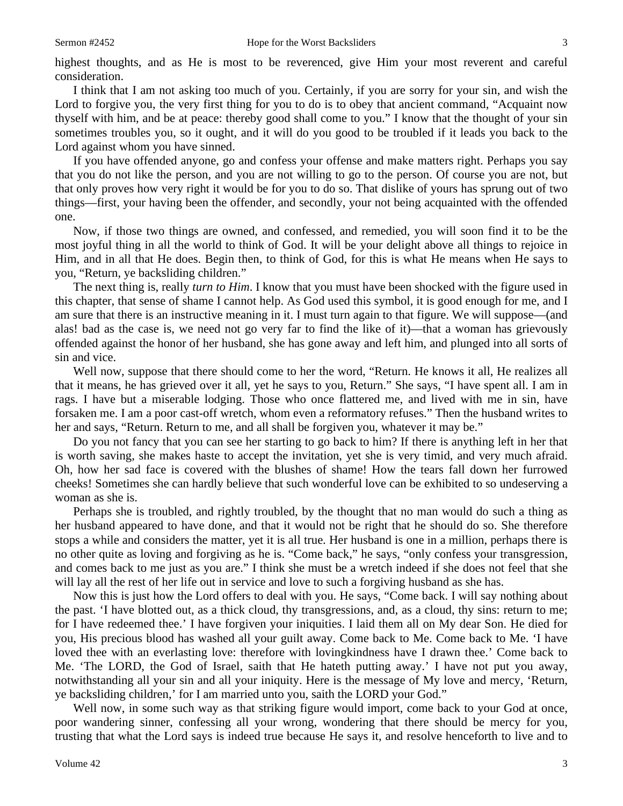highest thoughts, and as He is most to be reverenced, give Him your most reverent and careful consideration.

I think that I am not asking too much of you. Certainly, if you are sorry for your sin, and wish the Lord to forgive you, the very first thing for you to do is to obey that ancient command, "Acquaint now thyself with him, and be at peace: thereby good shall come to you." I know that the thought of your sin sometimes troubles you, so it ought, and it will do you good to be troubled if it leads you back to the Lord against whom you have sinned.

If you have offended anyone, go and confess your offense and make matters right. Perhaps you say that you do not like the person, and you are not willing to go to the person. Of course you are not, but that only proves how very right it would be for you to do so. That dislike of yours has sprung out of two things—first, your having been the offender, and secondly, your not being acquainted with the offended one.

Now, if those two things are owned, and confessed, and remedied, you will soon find it to be the most joyful thing in all the world to think of God. It will be your delight above all things to rejoice in Him, and in all that He does. Begin then, to think of God, for this is what He means when He says to you, "Return, ye backsliding children."

The next thing is, really *turn to Him*. I know that you must have been shocked with the figure used in this chapter, that sense of shame I cannot help. As God used this symbol, it is good enough for me, and I am sure that there is an instructive meaning in it. I must turn again to that figure. We will suppose—(and alas! bad as the case is, we need not go very far to find the like of it)—that a woman has grievously offended against the honor of her husband, she has gone away and left him, and plunged into all sorts of sin and vice.

Well now, suppose that there should come to her the word, "Return. He knows it all, He realizes all that it means, he has grieved over it all, yet he says to you, Return." She says, "I have spent all. I am in rags. I have but a miserable lodging. Those who once flattered me, and lived with me in sin, have forsaken me. I am a poor cast-off wretch, whom even a reformatory refuses." Then the husband writes to her and says, "Return. Return to me, and all shall be forgiven you, whatever it may be."

Do you not fancy that you can see her starting to go back to him? If there is anything left in her that is worth saving, she makes haste to accept the invitation, yet she is very timid, and very much afraid. Oh, how her sad face is covered with the blushes of shame! How the tears fall down her furrowed cheeks! Sometimes she can hardly believe that such wonderful love can be exhibited to so undeserving a woman as she is.

Perhaps she is troubled, and rightly troubled, by the thought that no man would do such a thing as her husband appeared to have done, and that it would not be right that he should do so. She therefore stops a while and considers the matter, yet it is all true. Her husband is one in a million, perhaps there is no other quite as loving and forgiving as he is. "Come back," he says, "only confess your transgression, and comes back to me just as you are." I think she must be a wretch indeed if she does not feel that she will lay all the rest of her life out in service and love to such a forgiving husband as she has.

Now this is just how the Lord offers to deal with you. He says, "Come back. I will say nothing about the past. 'I have blotted out, as a thick cloud, thy transgressions, and, as a cloud, thy sins: return to me; for I have redeemed thee.' I have forgiven your iniquities. I laid them all on My dear Son. He died for you, His precious blood has washed all your guilt away. Come back to Me. Come back to Me. 'I have loved thee with an everlasting love: therefore with lovingkindness have I drawn thee.' Come back to Me. 'The LORD, the God of Israel, saith that He hateth putting away.' I have not put you away, notwithstanding all your sin and all your iniquity. Here is the message of My love and mercy, 'Return, ye backsliding children,' for I am married unto you, saith the LORD your God."

Well now, in some such way as that striking figure would import, come back to your God at once, poor wandering sinner, confessing all your wrong, wondering that there should be mercy for you, trusting that what the Lord says is indeed true because He says it, and resolve henceforth to live and to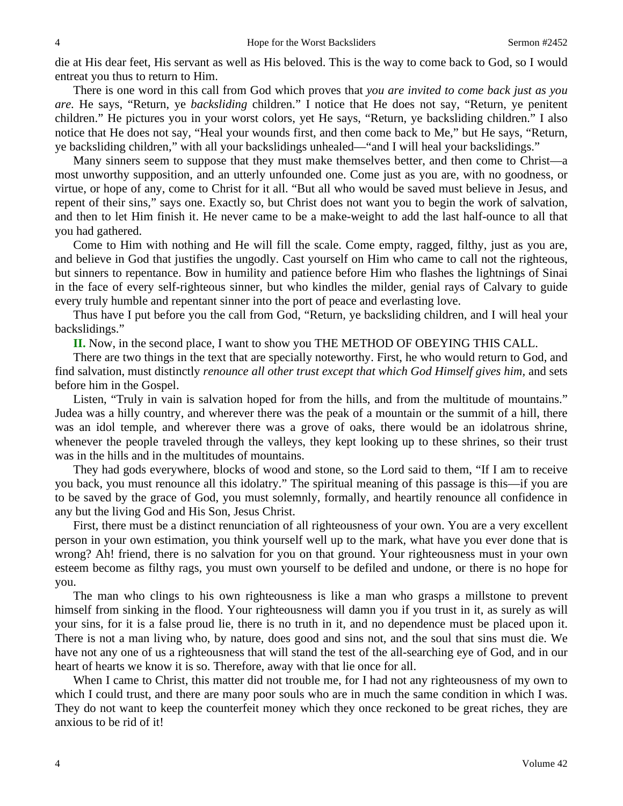die at His dear feet, His servant as well as His beloved. This is the way to come back to God, so I would entreat you thus to return to Him.

There is one word in this call from God which proves that *you are invited to come back just as you are.* He says, "Return, ye *backsliding* children." I notice that He does not say, "Return, ye penitent children." He pictures you in your worst colors, yet He says, "Return, ye backsliding children." I also notice that He does not say, "Heal your wounds first, and then come back to Me," but He says, "Return, ye backsliding children," with all your backslidings unhealed—"and I will heal your backslidings."

Many sinners seem to suppose that they must make themselves better, and then come to Christ—a most unworthy supposition, and an utterly unfounded one. Come just as you are, with no goodness, or virtue, or hope of any, come to Christ for it all. "But all who would be saved must believe in Jesus, and repent of their sins," says one. Exactly so, but Christ does not want you to begin the work of salvation, and then to let Him finish it. He never came to be a make-weight to add the last half-ounce to all that you had gathered.

Come to Him with nothing and He will fill the scale. Come empty, ragged, filthy, just as you are, and believe in God that justifies the ungodly. Cast yourself on Him who came to call not the righteous, but sinners to repentance. Bow in humility and patience before Him who flashes the lightnings of Sinai in the face of every self-righteous sinner, but who kindles the milder, genial rays of Calvary to guide every truly humble and repentant sinner into the port of peace and everlasting love.

Thus have I put before you the call from God, "Return, ye backsliding children, and I will heal your backslidings."

**II.** Now, in the second place, I want to show you THE METHOD OF OBEYING THIS CALL.

There are two things in the text that are specially noteworthy. First, he who would return to God, and find salvation, must distinctly *renounce all other trust except that which God Himself gives him,* and sets before him in the Gospel.

Listen, "Truly in vain is salvation hoped for from the hills, and from the multitude of mountains." Judea was a hilly country, and wherever there was the peak of a mountain or the summit of a hill, there was an idol temple, and wherever there was a grove of oaks, there would be an idolatrous shrine, whenever the people traveled through the valleys, they kept looking up to these shrines, so their trust was in the hills and in the multitudes of mountains.

They had gods everywhere, blocks of wood and stone, so the Lord said to them, "If I am to receive you back, you must renounce all this idolatry." The spiritual meaning of this passage is this—if you are to be saved by the grace of God, you must solemnly, formally, and heartily renounce all confidence in any but the living God and His Son, Jesus Christ.

First, there must be a distinct renunciation of all righteousness of your own. You are a very excellent person in your own estimation, you think yourself well up to the mark, what have you ever done that is wrong? Ah! friend, there is no salvation for you on that ground. Your righteousness must in your own esteem become as filthy rags, you must own yourself to be defiled and undone, or there is no hope for you.

The man who clings to his own righteousness is like a man who grasps a millstone to prevent himself from sinking in the flood. Your righteousness will damn you if you trust in it, as surely as will your sins, for it is a false proud lie, there is no truth in it, and no dependence must be placed upon it. There is not a man living who, by nature, does good and sins not, and the soul that sins must die. We have not any one of us a righteousness that will stand the test of the all-searching eye of God, and in our heart of hearts we know it is so. Therefore, away with that lie once for all.

When I came to Christ, this matter did not trouble me, for I had not any righteousness of my own to which I could trust, and there are many poor souls who are in much the same condition in which I was. They do not want to keep the counterfeit money which they once reckoned to be great riches, they are anxious to be rid of it!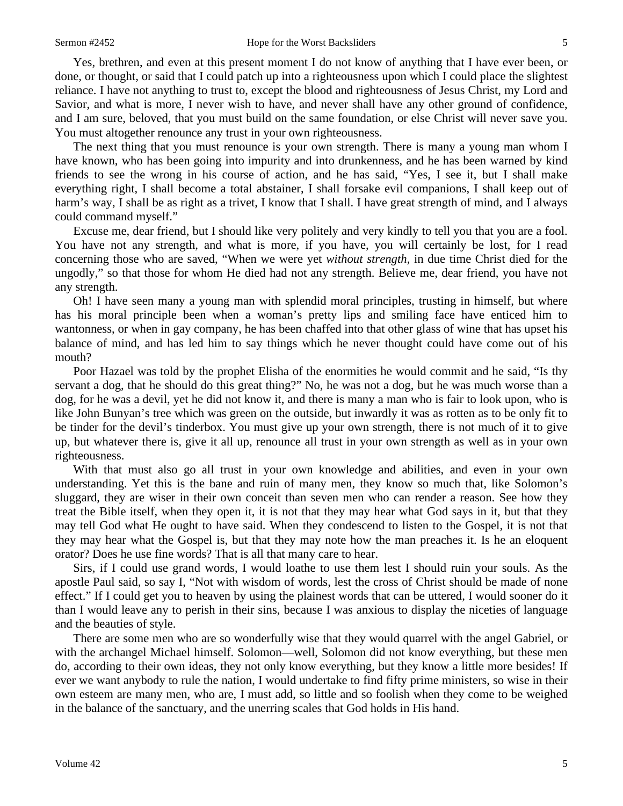Yes, brethren, and even at this present moment I do not know of anything that I have ever been, or done, or thought, or said that I could patch up into a righteousness upon which I could place the slightest reliance. I have not anything to trust to, except the blood and righteousness of Jesus Christ, my Lord and Savior, and what is more, I never wish to have, and never shall have any other ground of confidence, and I am sure, beloved, that you must build on the same foundation, or else Christ will never save you. You must altogether renounce any trust in your own righteousness.

The next thing that you must renounce is your own strength. There is many a young man whom I have known, who has been going into impurity and into drunkenness, and he has been warned by kind friends to see the wrong in his course of action, and he has said, "Yes, I see it, but I shall make everything right, I shall become a total abstainer, I shall forsake evil companions, I shall keep out of harm's way, I shall be as right as a trivet, I know that I shall. I have great strength of mind, and I always could command myself."

Excuse me, dear friend, but I should like very politely and very kindly to tell you that you are a fool. You have not any strength, and what is more, if you have, you will certainly be lost, for I read concerning those who are saved, "When we were yet *without strength,* in due time Christ died for the ungodly," so that those for whom He died had not any strength. Believe me, dear friend, you have not any strength.

Oh! I have seen many a young man with splendid moral principles, trusting in himself, but where has his moral principle been when a woman's pretty lips and smiling face have enticed him to wantonness, or when in gay company, he has been chaffed into that other glass of wine that has upset his balance of mind, and has led him to say things which he never thought could have come out of his mouth?

Poor Hazael was told by the prophet Elisha of the enormities he would commit and he said, "Is thy servant a dog, that he should do this great thing?" No, he was not a dog, but he was much worse than a dog, for he was a devil, yet he did not know it, and there is many a man who is fair to look upon, who is like John Bunyan's tree which was green on the outside, but inwardly it was as rotten as to be only fit to be tinder for the devil's tinderbox. You must give up your own strength, there is not much of it to give up, but whatever there is, give it all up, renounce all trust in your own strength as well as in your own righteousness.

With that must also go all trust in your own knowledge and abilities, and even in your own understanding. Yet this is the bane and ruin of many men, they know so much that, like Solomon's sluggard, they are wiser in their own conceit than seven men who can render a reason. See how they treat the Bible itself, when they open it, it is not that they may hear what God says in it, but that they may tell God what He ought to have said. When they condescend to listen to the Gospel, it is not that they may hear what the Gospel is, but that they may note how the man preaches it. Is he an eloquent orator? Does he use fine words? That is all that many care to hear.

Sirs, if I could use grand words, I would loathe to use them lest I should ruin your souls. As the apostle Paul said, so say I, "Not with wisdom of words, lest the cross of Christ should be made of none effect." If I could get you to heaven by using the plainest words that can be uttered, I would sooner do it than I would leave any to perish in their sins, because I was anxious to display the niceties of language and the beauties of style.

There are some men who are so wonderfully wise that they would quarrel with the angel Gabriel, or with the archangel Michael himself. Solomon—well, Solomon did not know everything, but these men do, according to their own ideas, they not only know everything, but they know a little more besides! If ever we want anybody to rule the nation, I would undertake to find fifty prime ministers, so wise in their own esteem are many men, who are, I must add, so little and so foolish when they come to be weighed in the balance of the sanctuary, and the unerring scales that God holds in His hand.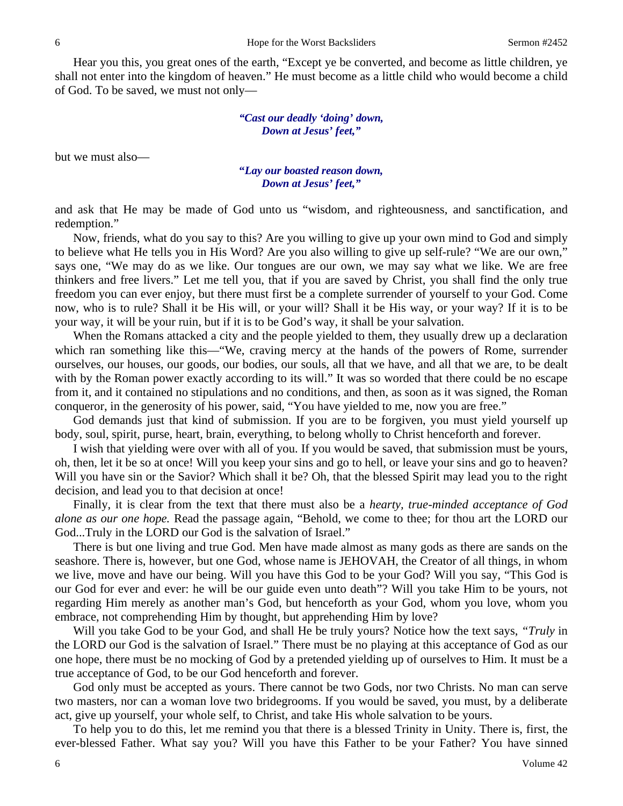Hear you this, you great ones of the earth, "Except ye be converted, and become as little children, ye shall not enter into the kingdom of heaven." He must become as a little child who would become a child of God. To be saved, we must not only—

### *"Cast our deadly 'doing' down, Down at Jesus' feet,"*

but we must also—

#### **"***Lay our boasted reason down, Down at Jesus' feet,"*

and ask that He may be made of God unto us "wisdom, and righteousness, and sanctification, and redemption."

Now, friends, what do you say to this? Are you willing to give up your own mind to God and simply to believe what He tells you in His Word? Are you also willing to give up self-rule? "We are our own," says one, "We may do as we like. Our tongues are our own, we may say what we like. We are free thinkers and free livers." Let me tell you, that if you are saved by Christ, you shall find the only true freedom you can ever enjoy, but there must first be a complete surrender of yourself to your God. Come now, who is to rule? Shall it be His will, or your will? Shall it be His way, or your way? If it is to be your way, it will be your ruin, but if it is to be God's way, it shall be your salvation.

When the Romans attacked a city and the people yielded to them, they usually drew up a declaration which ran something like this—"We, craving mercy at the hands of the powers of Rome, surrender ourselves, our houses, our goods, our bodies, our souls, all that we have, and all that we are, to be dealt with by the Roman power exactly according to its will." It was so worded that there could be no escape from it, and it contained no stipulations and no conditions, and then, as soon as it was signed, the Roman conqueror, in the generosity of his power, said, "You have yielded to me, now you are free."

God demands just that kind of submission. If you are to be forgiven, you must yield yourself up body, soul, spirit, purse, heart, brain, everything, to belong wholly to Christ henceforth and forever.

I wish that yielding were over with all of you. If you would be saved, that submission must be yours, oh, then, let it be so at once! Will you keep your sins and go to hell, or leave your sins and go to heaven? Will you have sin or the Savior? Which shall it be? Oh, that the blessed Spirit may lead you to the right decision, and lead you to that decision at once!

Finally, it is clear from the text that there must also be a *hearty, true-minded acceptance of God alone as our one hope.* Read the passage again, "Behold, we come to thee; for thou art the LORD our God...Truly in the LORD our God is the salvation of Israel."

There is but one living and true God. Men have made almost as many gods as there are sands on the seashore. There is, however, but one God, whose name is JEHOVAH, the Creator of all things, in whom we live, move and have our being. Will you have this God to be your God? Will you say, "This God is our God for ever and ever: he will be our guide even unto death"? Will you take Him to be yours, not regarding Him merely as another man's God, but henceforth as your God, whom you love, whom you embrace, not comprehending Him by thought, but apprehending Him by love?

Will you take God to be your God, and shall He be truly yours? Notice how the text says, *"Truly* in the LORD our God is the salvation of Israel." There must be no playing at this acceptance of God as our one hope, there must be no mocking of God by a pretended yielding up of ourselves to Him. It must be a true acceptance of God, to be our God henceforth and forever.

God only must be accepted as yours. There cannot be two Gods, nor two Christs. No man can serve two masters, nor can a woman love two bridegrooms. If you would be saved, you must, by a deliberate act, give up yourself, your whole self, to Christ, and take His whole salvation to be yours.

To help you to do this, let me remind you that there is a blessed Trinity in Unity. There is, first, the ever-blessed Father. What say you? Will you have this Father to be your Father? You have sinned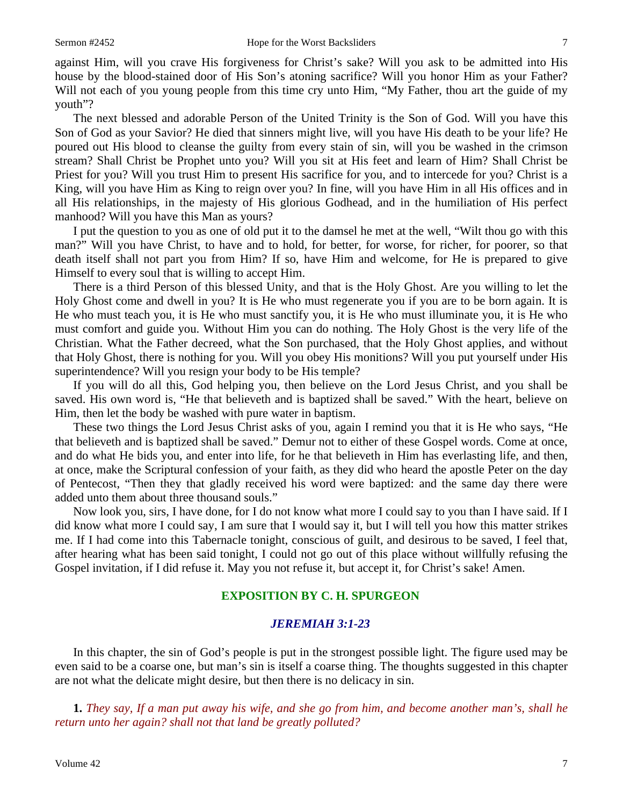against Him, will you crave His forgiveness for Christ's sake? Will you ask to be admitted into His house by the blood-stained door of His Son's atoning sacrifice? Will you honor Him as your Father? Will not each of you young people from this time cry unto Him, "My Father, thou art the guide of my youth"?

The next blessed and adorable Person of the United Trinity is the Son of God. Will you have this Son of God as your Savior? He died that sinners might live, will you have His death to be your life? He poured out His blood to cleanse the guilty from every stain of sin, will you be washed in the crimson stream? Shall Christ be Prophet unto you? Will you sit at His feet and learn of Him? Shall Christ be Priest for you? Will you trust Him to present His sacrifice for you, and to intercede for you? Christ is a King, will you have Him as King to reign over you? In fine, will you have Him in all His offices and in all His relationships, in the majesty of His glorious Godhead, and in the humiliation of His perfect manhood? Will you have this Man as yours?

I put the question to you as one of old put it to the damsel he met at the well, "Wilt thou go with this man?" Will you have Christ, to have and to hold, for better, for worse, for richer, for poorer, so that death itself shall not part you from Him? If so, have Him and welcome, for He is prepared to give Himself to every soul that is willing to accept Him.

There is a third Person of this blessed Unity, and that is the Holy Ghost. Are you willing to let the Holy Ghost come and dwell in you? It is He who must regenerate you if you are to be born again. It is He who must teach you, it is He who must sanctify you, it is He who must illuminate you, it is He who must comfort and guide you. Without Him you can do nothing. The Holy Ghost is the very life of the Christian. What the Father decreed, what the Son purchased, that the Holy Ghost applies, and without that Holy Ghost, there is nothing for you. Will you obey His monitions? Will you put yourself under His superintendence? Will you resign your body to be His temple?

If you will do all this, God helping you, then believe on the Lord Jesus Christ, and you shall be saved. His own word is, "He that believeth and is baptized shall be saved." With the heart, believe on Him, then let the body be washed with pure water in baptism.

These two things the Lord Jesus Christ asks of you, again I remind you that it is He who says, "He that believeth and is baptized shall be saved." Demur not to either of these Gospel words. Come at once, and do what He bids you, and enter into life, for he that believeth in Him has everlasting life, and then, at once, make the Scriptural confession of your faith, as they did who heard the apostle Peter on the day of Pentecost, "Then they that gladly received his word were baptized: and the same day there were added unto them about three thousand souls."

Now look you, sirs, I have done, for I do not know what more I could say to you than I have said. If I did know what more I could say, I am sure that I would say it, but I will tell you how this matter strikes me. If I had come into this Tabernacle tonight, conscious of guilt, and desirous to be saved, I feel that, after hearing what has been said tonight, I could not go out of this place without willfully refusing the Gospel invitation, if I did refuse it. May you not refuse it, but accept it, for Christ's sake! Amen.

## **EXPOSITION BY C. H. SPURGEON**

#### *JEREMIAH 3:1-23*

In this chapter, the sin of God's people is put in the strongest possible light. The figure used may be even said to be a coarse one, but man's sin is itself a coarse thing. The thoughts suggested in this chapter are not what the delicate might desire, but then there is no delicacy in sin.

**1.** *They say, If a man put away his wife, and she go from him, and become another man's, shall he return unto her again? shall not that land be greatly polluted?*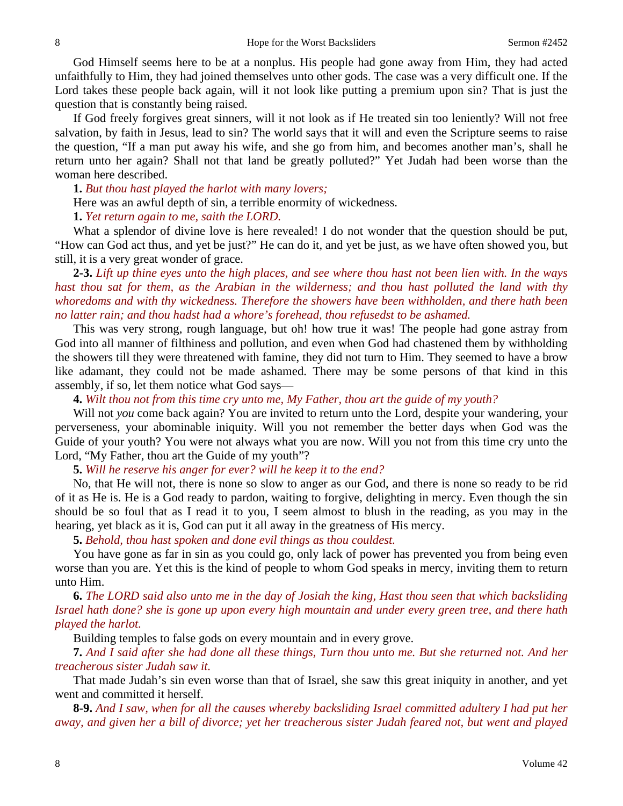God Himself seems here to be at a nonplus. His people had gone away from Him, they had acted unfaithfully to Him, they had joined themselves unto other gods. The case was a very difficult one. If the Lord takes these people back again, will it not look like putting a premium upon sin? That is just the question that is constantly being raised.

If God freely forgives great sinners, will it not look as if He treated sin too leniently? Will not free salvation, by faith in Jesus, lead to sin? The world says that it will and even the Scripture seems to raise the question, "If a man put away his wife, and she go from him, and becomes another man's, shall he return unto her again? Shall not that land be greatly polluted?" Yet Judah had been worse than the woman here described.

**1.** *But thou hast played the harlot with many lovers;* 

Here was an awful depth of sin, a terrible enormity of wickedness.

**1.** *Yet return again to me, saith the LORD.* 

What a splendor of divine love is here revealed! I do not wonder that the question should be put, "How can God act thus, and yet be just?" He can do it, and yet be just, as we have often showed you, but still, it is a very great wonder of grace.

**2-3.** *Lift up thine eyes unto the high places, and see where thou hast not been lien with. In the ways hast thou sat for them, as the Arabian in the wilderness; and thou hast polluted the land with thy whoredoms and with thy wickedness. Therefore the showers have been withholden, and there hath been no latter rain; and thou hadst had a whore's forehead, thou refusedst to be ashamed.* 

This was very strong, rough language, but oh! how true it was! The people had gone astray from God into all manner of filthiness and pollution, and even when God had chastened them by withholding the showers till they were threatened with famine, they did not turn to Him. They seemed to have a brow like adamant, they could not be made ashamed. There may be some persons of that kind in this assembly, if so, let them notice what God says—

**4.** *Wilt thou not from this time cry unto me, My Father, thou art the guide of my youth?* 

Will not *you* come back again? You are invited to return unto the Lord, despite your wandering, your perverseness, your abominable iniquity. Will you not remember the better days when God was the Guide of your youth? You were not always what you are now. Will you not from this time cry unto the Lord, "My Father, thou art the Guide of my youth"?

**5.** *Will he reserve his anger for ever? will he keep it to the end?* 

No, that He will not, there is none so slow to anger as our God, and there is none so ready to be rid of it as He is. He is a God ready to pardon, waiting to forgive, delighting in mercy. Even though the sin should be so foul that as I read it to you, I seem almost to blush in the reading, as you may in the hearing, yet black as it is, God can put it all away in the greatness of His mercy.

**5.** *Behold, thou hast spoken and done evil things as thou couldest.* 

You have gone as far in sin as you could go, only lack of power has prevented you from being even worse than you are. Yet this is the kind of people to whom God speaks in mercy, inviting them to return unto Him.

**6.** *The LORD said also unto me in the day of Josiah the king, Hast thou seen that which backsliding Israel hath done? she is gone up upon every high mountain and under every green tree, and there hath played the harlot.* 

Building temples to false gods on every mountain and in every grove.

**7.** *And I said after she had done all these things, Turn thou unto me. But she returned not. And her treacherous sister Judah saw it.* 

That made Judah's sin even worse than that of Israel, she saw this great iniquity in another, and yet went and committed it herself.

**8-9.** *And I saw, when for all the causes whereby backsliding Israel committed adultery I had put her away, and given her a bill of divorce; yet her treacherous sister Judah feared not, but went and played*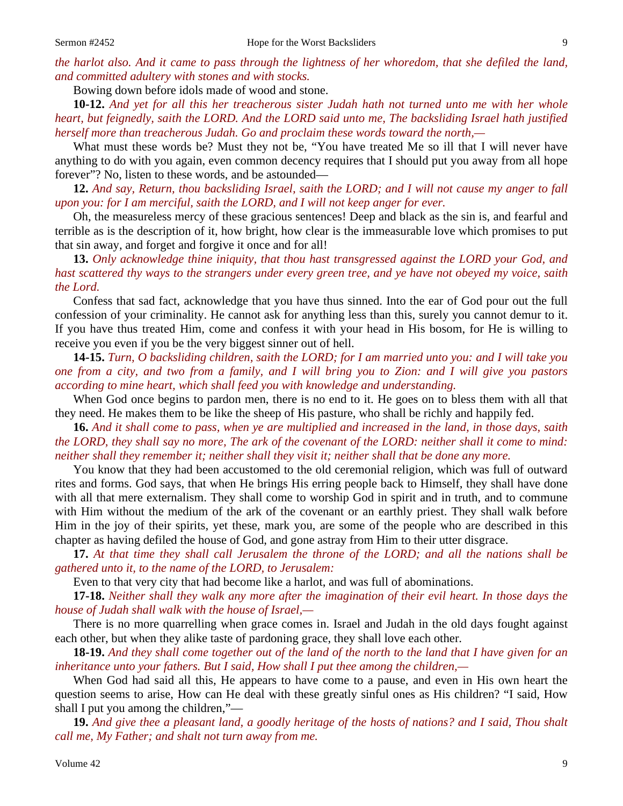Bowing down before idols made of wood and stone.

**10-12.** *And yet for all this her treacherous sister Judah hath not turned unto me with her whole heart, but feignedly, saith the LORD. And the LORD said unto me, The backsliding Israel hath justified herself more than treacherous Judah. Go and proclaim these words toward the north,—* 

What must these words be? Must they not be, "You have treated Me so ill that I will never have anything to do with you again, even common decency requires that I should put you away from all hope forever"? No, listen to these words, and be astounded—

**12.** *And say, Return, thou backsliding Israel, saith the LORD; and I will not cause my anger to fall upon you: for I am merciful, saith the LORD, and I will not keep anger for ever.* 

Oh, the measureless mercy of these gracious sentences! Deep and black as the sin is, and fearful and terrible as is the description of it, how bright, how clear is the immeasurable love which promises to put that sin away, and forget and forgive it once and for all!

**13.** *Only acknowledge thine iniquity, that thou hast transgressed against the LORD your God, and hast scattered thy ways to the strangers under every green tree, and ye have not obeyed my voice, saith the Lord.* 

Confess that sad fact, acknowledge that you have thus sinned. Into the ear of God pour out the full confession of your criminality. He cannot ask for anything less than this, surely you cannot demur to it. If you have thus treated Him, come and confess it with your head in His bosom, for He is willing to receive you even if you be the very biggest sinner out of hell.

**14-15.** *Turn, O backsliding children, saith the LORD; for I am married unto you: and I will take you one from a city, and two from a family, and I will bring you to Zion: and I will give you pastors according to mine heart, which shall feed you with knowledge and understanding.* 

When God once begins to pardon men, there is no end to it. He goes on to bless them with all that they need. He makes them to be like the sheep of His pasture, who shall be richly and happily fed.

**16.** *And it shall come to pass, when ye are multiplied and increased in the land, in those days, saith the LORD, they shall say no more, The ark of the covenant of the LORD: neither shall it come to mind: neither shall they remember it; neither shall they visit it; neither shall that be done any more.* 

You know that they had been accustomed to the old ceremonial religion, which was full of outward rites and forms. God says, that when He brings His erring people back to Himself, they shall have done with all that mere externalism. They shall come to worship God in spirit and in truth, and to commune with Him without the medium of the ark of the covenant or an earthly priest. They shall walk before Him in the joy of their spirits, yet these, mark you, are some of the people who are described in this chapter as having defiled the house of God, and gone astray from Him to their utter disgrace.

**17.** *At that time they shall call Jerusalem the throne of the LORD; and all the nations shall be gathered unto it, to the name of the LORD, to Jerusalem:* 

Even to that very city that had become like a harlot, and was full of abominations.

**17-18.** *Neither shall they walk any more after the imagination of their evil heart. In those days the house of Judah shall walk with the house of Israel,—* 

There is no more quarrelling when grace comes in. Israel and Judah in the old days fought against each other, but when they alike taste of pardoning grace, they shall love each other.

**18-19.** *And they shall come together out of the land of the north to the land that I have given for an inheritance unto your fathers. But I said, How shall I put thee among the children,—* 

When God had said all this, He appears to have come to a pause, and even in His own heart the question seems to arise, How can He deal with these greatly sinful ones as His children? "I said, How shall I put you among the children,"—

**19.** *And give thee a pleasant land, a goodly heritage of the hosts of nations? and I said, Thou shalt call me, My Father; and shalt not turn away from me.*